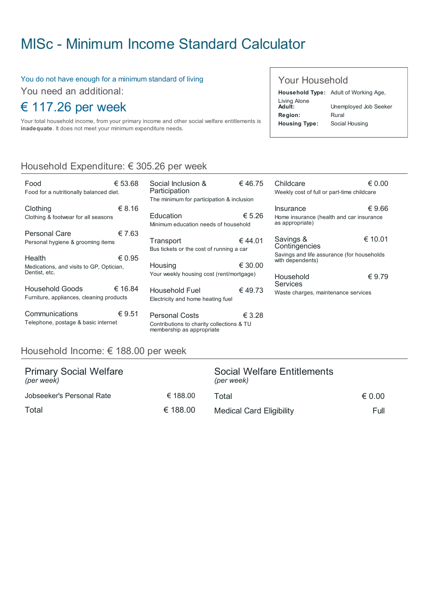# MISc - Minimum Income Standard [Calculator](http://www.misc.ie/)

#### You do not have enough for a minimum standard of living

You need an additional:

## € 117.26 per week

Your total household income, from your primary income and other social welfare entitlements is inadequate. It does not meet your minimum expenditure needs.

#### Your Household

Household Type: Adult of Working Age, Living Alone<br>**Adult:** Unemployed Job Seeker Region: Rural Housing Type: Social Housing

### Household Expenditure: € 305.26 per week

| Food<br>Food for a nutritionally balanced diet.                     | € 53.68 |
|---------------------------------------------------------------------|---------|
| Clothing<br>Clothing & footwear for all seasons                     | € 8.16  |
| Personal Care<br>Personal hygiene & grooming items                  | € 7.63  |
| Health<br>Medications, and visits to GP, Optician,<br>Dentist, etc. | € 0.95  |
| Household Goods<br>Furniture, appliances, cleaning products         | € 16.84 |
| Communications<br>Telephone, postage & basic internet               | €9.51   |

| Participation<br>The minimum for participation & inclusion |                                                                                          |         |
|------------------------------------------------------------|------------------------------------------------------------------------------------------|---------|
| Education                                                  | Minimum education needs of household                                                     | € 5.26  |
| Transport                                                  | Bus tickets or the cost of running a car                                                 | €44.01  |
| Housing                                                    | Your weekly housing cost (rent/mortgage)                                                 | € 30.00 |
|                                                            | Household Fuel<br>Electricity and home heating fuel                                      | €49.73  |
|                                                            | Personal Costs<br>Contributions to charity collections & TU<br>membership as appropriate | € 3.28  |

Social Inclusion &

€ 46.75

| Childcare<br>Weekly cost of full or part-time childcare                                      | € 0 00  |
|----------------------------------------------------------------------------------------------|---------|
| Insurance<br>Home insurance (health and car insurance<br>as appropriate)                     | € 9.66  |
| Savings &<br>Contingencies<br>Savings and life assurance (for households<br>with dependents) | € 10.01 |
| Household<br>Services<br>Waste charges, maintenance services                                 | €9.79   |

#### Household Income: € 188.00 per week

| <b>Primary Social Welfare</b><br>(per week) |          | Social Welfare Entitlements<br>(per week) |                 |  |
|---------------------------------------------|----------|-------------------------------------------|-----------------|--|
| Jobseeker's Personal Rate                   | € 188.00 | Total                                     | $\epsilon$ 0.00 |  |
| Total                                       | € 188.00 | <b>Medical Card Eligibility</b>           | Full            |  |